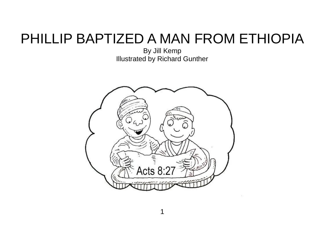## PHILLIP BAPTIZED A MAN FROM ETHIOPIA

By Jill Kemp Illustrated by Richard Gunther

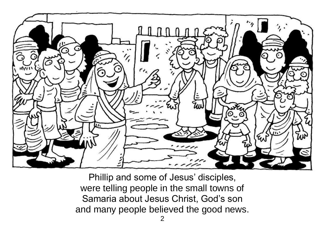

Phillip and some of Jesus' disciples, were telling people in the small towns of Samaria about Jesus Christ, God's son and many people believed the good news.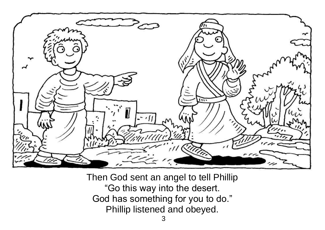

Then God sent an angel to tell Phillip "Go this way into the desert. God has something for you to do." Phillip listened and obeyed.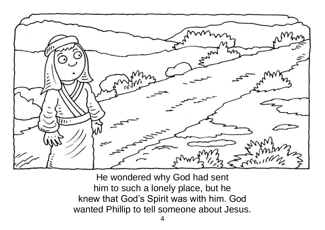

He wondered why God had sent him to such a lonely place, but he knew that God's Spirit was with him. God wanted Phillip to tell someone about Jesus.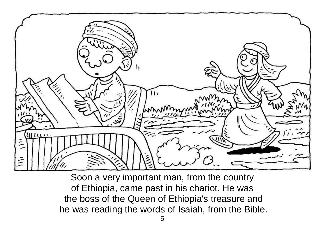

Soon a very important man, from the country of Ethiopia, came past in his chariot. He was the boss of the Queen of Ethiopia's treasure and he was reading the words of Isaiah, from the Bible.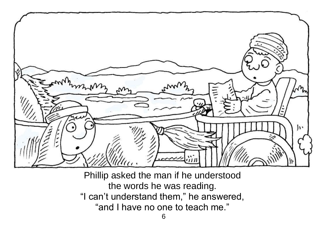

Phillip asked the man if he understood the words he was reading. "I can't understand them," he answered, "and I have no one to teach me."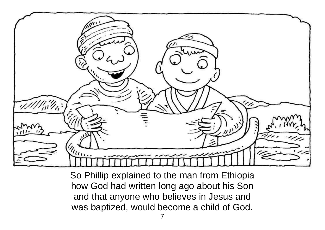

So Phillip explained to the man from Ethiopia how God had written long ago about his Son and that anyone who believes in Jesus and was baptized, would become a child of God.